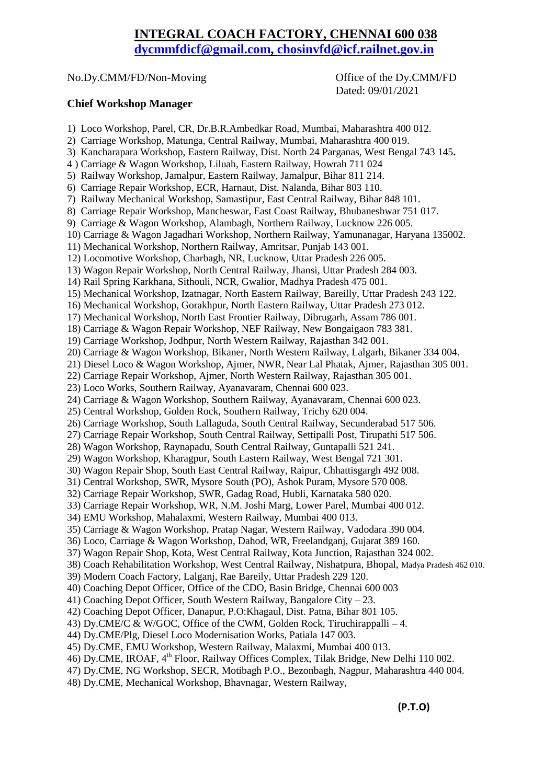## **INTEGRAL COACH FACTORY, CHENNAI 600 038**

**[dycmmfdicf@gmail.com,](mailto:dycmmfdicf@gmail.com) [chosinvfd@icf.railnet.gov.in](mailto:chosinvfd@icf.railnet.gov.in)**

## No.Dy.CMM/FD/Non-Moving Office of the Dy.CMM/FD

Dated: 09/01/2021

## **Chief Workshop Manager**

1) Loco Workshop, Parel, CR, Dr.B.R.Ambedkar Road, Mumbai, Maharashtra 400 012.

- 2) Carriage Workshop, Matunga, Central Railway, Mumbai, Maharashtra 400 019.
- 3) Kancharapara Workshop, Eastern Railway, Dist. North 24 Parganas, West Bengal 743 145**.**
- 4 ) Carriage & Wagon Workshop, Liluah, Eastern Railway, Howrah 711 024
- 5) Railway Workshop, Jamalpur, Eastern Railway, Jamalpur, Bihar 811 214.
- 6) Carriage Repair Workshop, ECR, Harnaut, Dist. Nalanda, Bihar 803 110.
- 7) Railway Mechanical Workshop, Samastipur, East Central Railway, Bihar 848 101.
- 8) Carriage Repair Workshop, Mancheswar, East Coast Railway, Bhubaneshwar 751 017.
- 9) Carriage & Wagon Workshop, Alambagh, Northern Railway, Lucknow 226 005.
- 10) Carriage & Wagon Jagadhari Workshop, Northern Railway, Yamunanagar, Haryana 135002.
- 11) Mechanical Workshop, Northern Railway, Amritsar, Punjab 143 001.
- 12) Locomotive Workshop, Charbagh, NR, Lucknow, Uttar Pradesh 226 005.
- 13) Wagon Repair Workshop, North Central Railway, Jhansi, Uttar Pradesh 284 003.
- 14) Rail Spring Karkhana, Sithouli, NCR, Gwalior, Madhya Pradesh 475 001.
- 15) Mechanical Workshop, Izatnagar, North Eastern Railway, Bareilly, Uttar Pradesh 243 122.
- 16) Mechanical Workshop, Gorakhpur, North Eastern Railway, Uttar Pradesh 273 012.
- 17) Mechanical Workshop, North East Frontier Railway, Dibrugarh, Assam 786 001.
- 18) Carriage & Wagon Repair Workshop, NEF Railway, New Bongaigaon 783 381.
- 19) Carriage Workshop, Jodhpur, North Western Railway, Rajasthan 342 001.
- 20) Carriage & Wagon Workshop, Bikaner, North Western Railway, Lalgarh, Bikaner 334 004.
- 21) Diesel Loco & Wagon Workshop, Ajmer, NWR, Near Lal Phatak, Ajmer, Rajasthan 305 001.
- 22) Carriage Repair Workshop, Ajmer, North Western Railway, Rajasthan 305 001.
- 23) Loco Works, Southern Railway, Ayanavaram, Chennai 600 023.
- 24) Carriage & Wagon Workshop, Southern Railway, Ayanavaram, Chennai 600 023.
- 25) Central Workshop, Golden Rock, Southern Railway, Trichy 620 004.
- 26) Carriage Workshop, South Lallaguda, South Central Railway, Secunderabad 517 506.
- 27) Carriage Repair Workshop, South Central Railway, Settipalli Post, Tirupathi 517 506.
- 28) Wagon Workshop, Raynapadu, South Central Railway, Guntapalli 521 241.
- 29) Wagon Workshop, Kharagpur, South Eastern Railway, West Bengal 721 301.
- 30) Wagon Repair Shop, South East Central Railway, Raipur, Chhattisgargh 492 008.
- 31) Central Workshop, SWR, Mysore South (PO), Ashok Puram, Mysore 570 008.
- 32) Carriage Repair Workshop, SWR, Gadag Road, Hubli, Karnataka 580 020.
- 33) Carriage Repair Workshop, WR, N.M. Joshi Marg, Lower Parel, Mumbai 400 012.
- 34) EMU Workshop, Mahalaxmi, Western Railway, Mumbai 400 013.
- 35) Carriage & Wagon Workshop, Pratap Nagar, Western Railway, Vadodara 390 004.
- 36) Loco, Carriage & Wagon Workshop, Dahod, WR, Freelandganj, Gujarat 389 160.
- 37) Wagon Repair Shop, Kota, West Central Railway, Kota Junction, Rajasthan 324 002.
- 38) Coach Rehabilitation Workshop, West Central Railway, Nishatpura, Bhopal, Madya Pradesh 462 010.
- 39) Modern Coach Factory, Lalganj, Rae Bareily, Uttar Pradesh 229 120.
- 40) Coaching Depot Officer, Office of the CDO, Basin Bridge, Chennai 600 003
- 41) Coaching Depot Officer, South Western Railway, Bangalore City 23.
- 42) Coaching Depot Officer, Danapur, P.O:Khagaul, Dist. Patna, Bihar 801 105.
- 43) Dy.CME/C & W/GOC, Office of the CWM, Golden Rock, Tiruchirappalli 4.
- 44) Dy.CME/Plg, Diesel Loco Modernisation Works, Patiala 147 003.
- 45) Dy.CME, EMU Workshop, Western Railway, Malaxmi, Mumbai 400 013.
- 46) Dy.CME, IROAF, 4th Floor, Railway Offices Complex, Tilak Bridge, New Delhi 110 002.
- 47) Dy.CME, NG Workshop, SECR, Motibagh P.O., Bezonbagh, Nagpur, Maharashtra 440 004.
- 48) Dy.CME, Mechanical Workshop, Bhavnagar, Western Railway,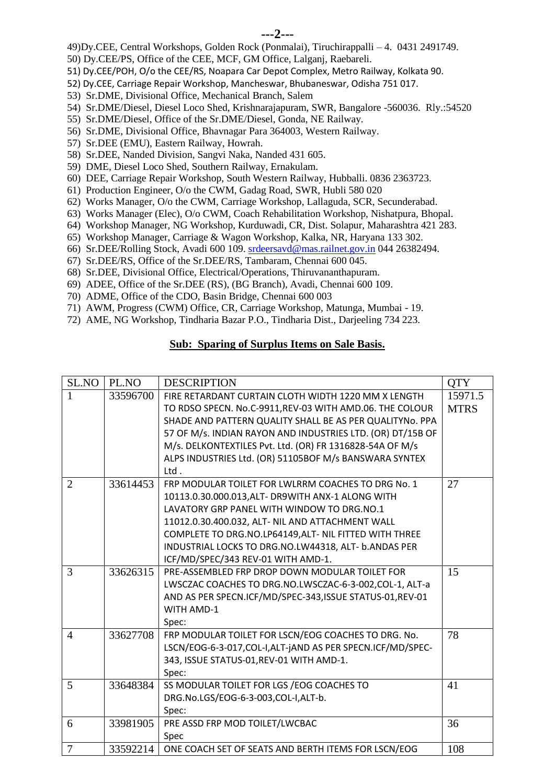49)Dy.CEE, Central Workshops, Golden Rock (Ponmalai), Tiruchirappalli – 4. 0431 2491749.

- 50) Dy.CEE/PS, Office of the CEE, MCF, GM Office, Lalganj, Raebareli.
- 51) Dy.CEE/POH, O/o the CEE/RS, Noapara Car Depot Complex, Metro Railway, Kolkata 90.
- 52) Dy.CEE, Carriage Repair Workshop, Mancheswar, Bhubaneswar, Odisha 751 017.
- 53) Sr.DME, Divisional Office, Mechanical Branch, Salem
- 54) Sr.DME/Diesel, Diesel Loco Shed, Krishnarajapuram, SWR, Bangalore -560036. Rly.:54520
- 55) Sr.DME/Diesel, Office of the Sr.DME/Diesel, Gonda, NE Railway.
- 56) Sr.DME, Divisional Office, Bhavnagar Para 364003, Western Railway.
- 57) Sr.DEE (EMU), Eastern Railway, Howrah.
- 58) Sr.DEE, Nanded Division, Sangvi Naka, Nanded 431 605.
- 59) DME, Diesel Loco Shed, Southern Railway, Ernakulam.
- 60) DEE, Carriage Repair Workshop, South Western Railway, Hubballi. 0836 2363723.
- 61) Production Engineer, O/o the CWM, Gadag Road, SWR, Hubli 580 020
- 62) Works Manager, O/o the CWM, Carriage Workshop, Lallaguda, SCR, Secunderabad.
- 63) Works Manager (Elec), O/o CWM, Coach Rehabilitation Workshop, Nishatpura, Bhopal.
- 64) Workshop Manager, NG Workshop, Kurduwadi, CR, Dist. Solapur, Maharashtra 421 283.
- 65) Workshop Manager, Carriage & Wagon Workshop, Kalka, NR, Haryana 133 302.
- 66) Sr.DEE/Rolling Stock, Avadi 600 109. [srdeersavd@mas.railnet.gov.in](mailto:srdeersavd@mas.railnet.gov.in) 044 26382494.
- 67) Sr.DEE/RS, Office of the Sr.DEE/RS, Tambaram, Chennai 600 045.
- 68) Sr.DEE, Divisional Office, Electrical/Operations, Thiruvananthapuram.
- 69) ADEE, Office of the Sr.DEE (RS), (BG Branch), Avadi, Chennai 600 109.
- 70) ADME, Office of the CDO, Basin Bridge, Chennai 600 003
- 71) AWM, Progress (CWM) Office, CR, Carriage Workshop, Matunga, Mumbai 19.
- 72) AME, NG Workshop, Tindharia Bazar P.O., Tindharia Dist., Darjeeling 734 223.

## **Sub: Sparing of Surplus Items on Sale Basis.**

| SL.NO          | PL.NO    | <b>DESCRIPTION</b>                                           | <b>QTY</b>  |
|----------------|----------|--------------------------------------------------------------|-------------|
| $\mathbf{1}$   | 33596700 | FIRE RETARDANT CURTAIN CLOTH WIDTH 1220 MM X LENGTH          | 15971.5     |
|                |          | TO RDSO SPECN. No.C-9911, REV-03 WITH AMD.06. THE COLOUR     | <b>MTRS</b> |
|                |          | SHADE AND PATTERN QUALITY SHALL BE AS PER QUALITYNO. PPA     |             |
|                |          | 57 OF M/s. INDIAN RAYON AND INDUSTRIES LTD. (OR) DT/15B OF   |             |
|                |          | M/s. DELKONTEXTILES Pvt. Ltd. (OR) FR 1316828-54A OF M/s     |             |
|                |          | ALPS INDUSTRIES Ltd. (OR) 51105BOF M/s BANSWARA SYNTEX       |             |
|                |          | Ltd.                                                         |             |
| $\overline{2}$ | 33614453 | FRP MODULAR TOILET FOR LWLRRM COACHES TO DRG No. 1           | 27          |
|                |          | 10113.0.30.000.013, ALT- DR9WITH ANX-1 ALONG WITH            |             |
|                |          | LAVATORY GRP PANEL WITH WINDOW TO DRG.NO.1                   |             |
|                |          | 11012.0.30.400.032, ALT- NIL AND ATTACHMENT WALL             |             |
|                |          | COMPLETE TO DRG.NO.LP64149, ALT- NIL FITTED WITH THREE       |             |
|                |          | INDUSTRIAL LOCKS TO DRG.NO.LW44318, ALT- b.ANDAS PER         |             |
|                |          | ICF/MD/SPEC/343 REV-01 WITH AMD-1.                           |             |
| 3              | 33626315 | PRE-ASSEMBLED FRP DROP DOWN MODULAR TOILET FOR               | 15          |
|                |          | LWSCZAC COACHES TO DRG.NO.LWSCZAC-6-3-002,COL-1, ALT-a       |             |
|                |          | AND AS PER SPECN.ICF/MD/SPEC-343, ISSUE STATUS-01, REV-01    |             |
|                |          | <b>WITH AMD-1</b>                                            |             |
|                |          | Spec:                                                        |             |
| $\overline{4}$ | 33627708 | FRP MODULAR TOILET FOR LSCN/EOG COACHES TO DRG. No.          | 78          |
|                |          | LSCN/EOG-6-3-017, COL-I, ALT-jAND AS PER SPECN. ICF/MD/SPEC- |             |
|                |          | 343, ISSUE STATUS-01, REV-01 WITH AMD-1.                     |             |
|                |          | Spec:                                                        |             |
| 5              | 33648384 | SS MODULAR TOILET FOR LGS / EOG COACHES TO                   | 41          |
|                |          | DRG.No.LGS/EOG-6-3-003,COL-I,ALT-b.                          |             |
|                |          | Spec:                                                        |             |
| 6              | 33981905 | PRE ASSD FRP MOD TOILET/LWCBAC                               | 36          |
|                |          | Spec                                                         |             |
| 7              | 33592214 | ONE COACH SET OF SEATS AND BERTH ITEMS FOR LSCN/EOG          | 108         |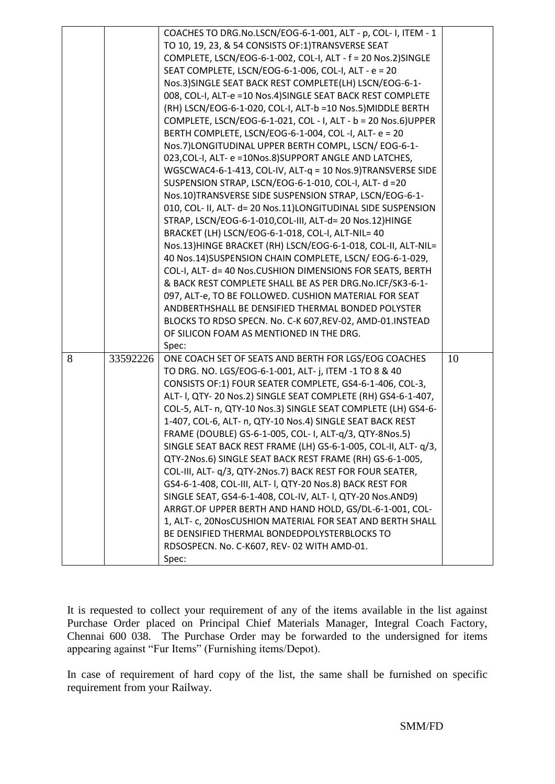|   |          | COACHES TO DRG.No.LSCN/EOG-6-1-001, ALT - p, COL- I, ITEM - 1  |    |
|---|----------|----------------------------------------------------------------|----|
|   |          | TO 10, 19, 23, & 54 CONSISTS OF:1)TRANSVERSE SEAT              |    |
|   |          | COMPLETE, LSCN/EOG-6-1-002, COL-I, ALT - f = 20 Nos.2)SINGLE   |    |
|   |          | SEAT COMPLETE, LSCN/EOG-6-1-006, COL-I, ALT - e = 20           |    |
|   |          | Nos.3) SINGLE SEAT BACK REST COMPLETE(LH) LSCN/EOG-6-1-        |    |
|   |          | 008, COL-I, ALT-e =10 Nos.4) SINGLE SEAT BACK REST COMPLETE    |    |
|   |          | (RH) LSCN/EOG-6-1-020, COL-I, ALT-b =10 Nos.5) MIDDLE BERTH    |    |
|   |          | COMPLETE, LSCN/EOG-6-1-021, COL - I, ALT - b = 20 Nos.6) UPPER |    |
|   |          | BERTH COMPLETE, LSCN/EOG-6-1-004, COL -I, ALT- e = 20          |    |
|   |          | Nos.7)LONGITUDINAL UPPER BERTH COMPL, LSCN/EOG-6-1-            |    |
|   |          | 023, COL-I, ALT- e = 10Nos.8) SUPPORT ANGLE AND LATCHES,       |    |
|   |          | WGSCWAC4-6-1-413, COL-IV, ALT-q = 10 Nos.9)TRANSVERSE SIDE     |    |
|   |          | SUSPENSION STRAP, LSCN/EOG-6-1-010, COL-I, ALT- d =20          |    |
|   |          | Nos.10)TRANSVERSE SIDE SUSPENSION STRAP, LSCN/EOG-6-1-         |    |
|   |          | 010, COL- II, ALT- d= 20 Nos.11)LONGITUDINAL SIDE SUSPENSION   |    |
|   |          | STRAP, LSCN/EOG-6-1-010, COL-III, ALT-d= 20 Nos. 12) HINGE     |    |
|   |          | BRACKET (LH) LSCN/EOG-6-1-018, COL-I, ALT-NIL= 40              |    |
|   |          | Nos.13)HINGE BRACKET (RH) LSCN/EOG-6-1-018, COL-II, ALT-NIL=   |    |
|   |          | 40 Nos.14) SUSPENSION CHAIN COMPLETE, LSCN/EOG-6-1-029,        |    |
|   |          | COL-I, ALT- d= 40 Nos.CUSHION DIMENSIONS FOR SEATS, BERTH      |    |
|   |          | & BACK REST COMPLETE SHALL BE AS PER DRG.No.ICF/SK3-6-1-       |    |
|   |          | 097, ALT-e, TO BE FOLLOWED. CUSHION MATERIAL FOR SEAT          |    |
|   |          | ANDBERTHSHALL BE DENSIFIED THERMAL BONDED POLYSTER             |    |
|   |          | BLOCKS TO RDSO SPECN. No. C-K 607, REV-02, AMD-01. INSTEAD     |    |
|   |          | OF SILICON FOAM AS MENTIONED IN THE DRG.                       |    |
|   |          | Spec:                                                          |    |
| 8 | 33592226 | ONE COACH SET OF SEATS AND BERTH FOR LGS/EOG COACHES           | 10 |
|   |          | TO DRG. NO. LGS/EOG-6-1-001, ALT- j, ITEM -1 TO 8 & 40         |    |
|   |          | CONSISTS OF:1) FOUR SEATER COMPLETE, GS4-6-1-406, COL-3,       |    |
|   |          | ALT- I, QTY- 20 Nos.2) SINGLE SEAT COMPLETE (RH) GS4-6-1-407,  |    |
|   |          | COL-5, ALT- n, QTY-10 Nos.3) SINGLE SEAT COMPLETE (LH) GS4-6-  |    |
|   |          | 1-407, COL-6, ALT- n, QTY-10 Nos.4) SINGLE SEAT BACK REST      |    |
|   |          | FRAME (DOUBLE) GS-6-1-005, COL- I, ALT-q/3, QTY-8Nos.5)        |    |
|   |          | SINGLE SEAT BACK REST FRAME (LH) GS-6-1-005, COL-II, ALT- q/3, |    |
|   |          | QTY-2Nos.6) SINGLE SEAT BACK REST FRAME (RH) GS-6-1-005,       |    |
|   |          | COL-III, ALT- q/3, QTY-2Nos.7) BACK REST FOR FOUR SEATER,      |    |
|   |          | GS4-6-1-408, COL-III, ALT- I, QTY-20 Nos.8) BACK REST FOR      |    |
|   |          | SINGLE SEAT, GS4-6-1-408, COL-IV, ALT- I, QTY-20 Nos.AND9)     |    |
|   |          | ARRGT.OF UPPER BERTH AND HAND HOLD, GS/DL-6-1-001, COL-        |    |
|   |          | 1, ALT- c, 20NosCUSHION MATERIAL FOR SEAT AND BERTH SHALL      |    |
|   |          | BE DENSIFIED THERMAL BONDEDPOLYSTERBLOCKS TO                   |    |
|   |          | RDSOSPECN. No. C-K607, REV- 02 WITH AMD-01.                    |    |
|   |          | Spec:                                                          |    |
|   |          |                                                                |    |

It is requested to collect your requirement of any of the items available in the list against Purchase Order placed on Principal Chief Materials Manager, Integral Coach Factory, Chennai 600 038. The Purchase Order may be forwarded to the undersigned for items appearing against "Fur Items" (Furnishing items/Depot).

In case of requirement of hard copy of the list, the same shall be furnished on specific requirement from your Railway.